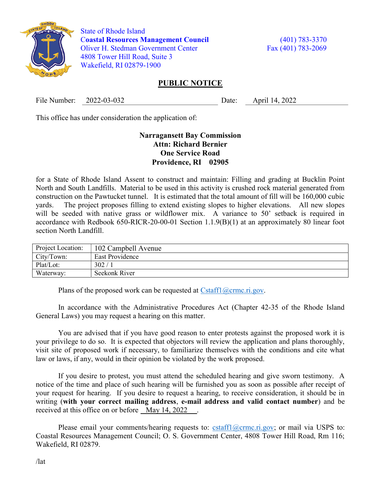

 State of Rhode Island Coastal Resources Management Council (401) 783-3370 Oliver H. Stedman Government Center Fax (401) 783-2069 4808 Tower Hill Road, Suite 3 Wakefield, RI 02879-1900

## PUBLIC NOTICE

File Number: 2022-03-032 Date: April 14, 2022

This office has under consideration the application of:

## Narragansett Bay Commission Attn: Richard Bernier One Service Road Providence, RI 02905

for a State of Rhode Island Assent to construct and maintain: Filling and grading at Bucklin Point North and South Landfills. Material to be used in this activity is crushed rock material generated from construction on the Pawtucket tunnel. It is estimated that the total amount of fill will be 160,000 cubic yards. The project proposes filling to extend existing slopes to higher elevations. All new slopes will be seeded with native grass or wildflower mix. A variance to 50' setback is required in accordance with Redbook 650-RICR-20-00-01 Section 1.1.9(B)(1) at an approximately 80 linear foot section North Landfill.

| Project Location: | 102 Campbell Avenue    |
|-------------------|------------------------|
| City/Town:        | <b>East Providence</b> |
| Plat/Lot:         | 302/                   |
| Waterway:         | Seekonk River          |

Plans of the proposed work can be requested at  $Cstatf1(\omega)$ crmc.ri.gov.

In accordance with the Administrative Procedures Act (Chapter 42-35 of the Rhode Island General Laws) you may request a hearing on this matter.

You are advised that if you have good reason to enter protests against the proposed work it is your privilege to do so. It is expected that objectors will review the application and plans thoroughly, visit site of proposed work if necessary, to familiarize themselves with the conditions and cite what law or laws, if any, would in their opinion be violated by the work proposed.

If you desire to protest, you must attend the scheduled hearing and give sworn testimony. A notice of the time and place of such hearing will be furnished you as soon as possible after receipt of your request for hearing. If you desire to request a hearing, to receive consideration, it should be in writing (with your correct mailing address, e-mail address and valid contact number) and be received at this office on or before May 14, 2022.

Please email your comments/hearing requests to: cstaff $1$ @crmc.ri.gov; or mail via USPS to: Coastal Resources Management Council; O. S. Government Center, 4808 Tower Hill Road, Rm 116; Wakefield, RI 02879.